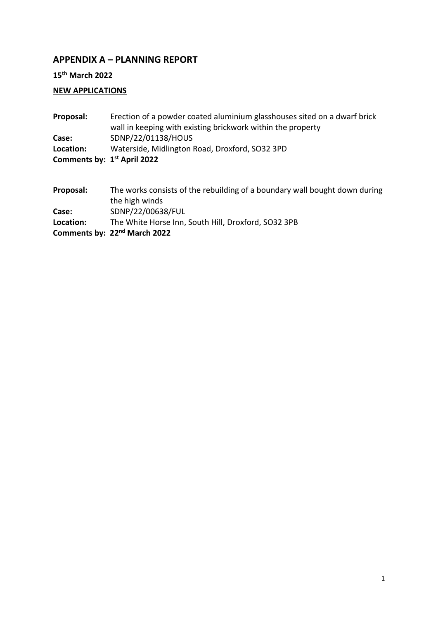### **APPENDIX A – PLANNING REPORT**

**15th March 2022**

## **NEW APPLICATIONS**

| Proposal:                               | Erection of a powder coated aluminium glasshouses sited on a dwarf brick |
|-----------------------------------------|--------------------------------------------------------------------------|
|                                         | wall in keeping with existing brickwork within the property              |
| Case:                                   | SDNP/22/01138/HOUS                                                       |
| Location:                               | Waterside, Midlington Road, Droxford, SO32 3PD                           |
| Comments by: 1 <sup>st</sup> April 2022 |                                                                          |
|                                         |                                                                          |

| Proposal: | The works consists of the rebuilding of a boundary wall bought down during |
|-----------|----------------------------------------------------------------------------|
|           | the high winds                                                             |
| Case:     | SDNP/22/00638/FUL                                                          |
| Location: | The White Horse Inn, South Hill, Droxford, SO32 3PB                        |
|           | Comments by: 22 <sup>nd</sup> March 2022                                   |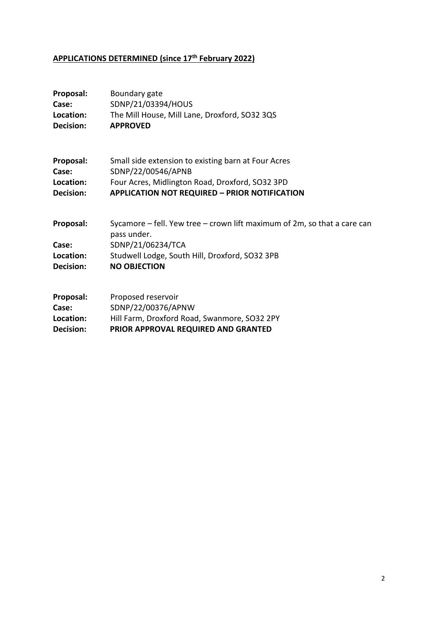# **APPLICATIONS DETERMINED (since 17th February 2022)**

| Proposal:                                    | Boundary gate                                                                                                                                                                             |
|----------------------------------------------|-------------------------------------------------------------------------------------------------------------------------------------------------------------------------------------------|
| Case:                                        | SDNP/21/03394/HOUS                                                                                                                                                                        |
| Location:                                    | The Mill House, Mill Lane, Droxford, SO32 3QS                                                                                                                                             |
| Decision:                                    | <b>APPROVED</b>                                                                                                                                                                           |
| Proposal:                                    | Small side extension to existing barn at Four Acres                                                                                                                                       |
| Case:                                        | SDNP/22/00546/APNB                                                                                                                                                                        |
| Location:                                    | Four Acres, Midlington Road, Droxford, SO32 3PD                                                                                                                                           |
| Decision:                                    | <b>APPLICATION NOT REQUIRED - PRIOR NOTIFICATION</b>                                                                                                                                      |
| Proposal:<br>Case:<br>Location:<br>Decision: | Sycamore $-$ fell. Yew tree $-$ crown lift maximum of 2m, so that a care can<br>pass under.<br>SDNP/21/06234/TCA<br>Studwell Lodge, South Hill, Droxford, SO32 3PB<br><b>NO OBJECTION</b> |
| Proposal:                                    | Proposed reservoir                                                                                                                                                                        |
| Case:                                        | SDNP/22/00376/APNW                                                                                                                                                                        |
| Location:                                    | Hill Farm, Droxford Road, Swanmore, SO32 2PY                                                                                                                                              |
| <b>Decision:</b>                             | PRIOR APPROVAL REQUIRED AND GRANTED                                                                                                                                                       |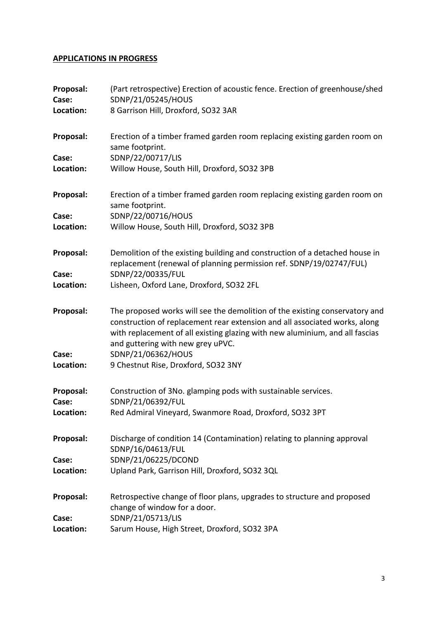#### **APPLICATIONS IN PROGRESS**

| Proposal:<br>Case:<br>Location: | (Part retrospective) Erection of acoustic fence. Erection of greenhouse/shed<br>SDNP/21/05245/HOUS<br>8 Garrison Hill, Droxford, SO32 3AR                                                                                                                                      |
|---------------------------------|--------------------------------------------------------------------------------------------------------------------------------------------------------------------------------------------------------------------------------------------------------------------------------|
| Proposal:<br>Case:<br>Location: | Erection of a timber framed garden room replacing existing garden room on<br>same footprint.<br>SDNP/22/00717/LIS<br>Willow House, South Hill, Droxford, SO32 3PB                                                                                                              |
| Proposal:                       | Erection of a timber framed garden room replacing existing garden room on                                                                                                                                                                                                      |
| Case:<br>Location:              | same footprint.<br>SDNP/22/00716/HOUS<br>Willow House, South Hill, Droxford, SO32 3PB                                                                                                                                                                                          |
| Proposal:<br>Case:              | Demolition of the existing building and construction of a detached house in<br>replacement (renewal of planning permission ref. SDNP/19/02747/FUL)<br>SDNP/22/00335/FUL                                                                                                        |
| Location:                       | Lisheen, Oxford Lane, Droxford, SO32 2FL                                                                                                                                                                                                                                       |
| Proposal:                       | The proposed works will see the demolition of the existing conservatory and<br>construction of replacement rear extension and all associated works, along<br>with replacement of all existing glazing with new aluminium, and all fascias<br>and guttering with new grey uPVC. |
| Case:<br>Location:              | SDNP/21/06362/HOUS<br>9 Chestnut Rise, Droxford, SO32 3NY                                                                                                                                                                                                                      |
| Proposal:<br>Case:<br>Location: | Construction of 3No. glamping pods with sustainable services.<br>SDNP/21/06392/FUL<br>Red Admiral Vineyard, Swanmore Road, Droxford, SO32 3PT                                                                                                                                  |
| Proposal:                       | Discharge of condition 14 (Contamination) relating to planning approval<br>SDNP/16/04613/FUL                                                                                                                                                                                   |
| Case:<br>Location:              | SDNP/21/06225/DCOND<br>Upland Park, Garrison Hill, Droxford, SO32 3QL                                                                                                                                                                                                          |
| Proposal:<br>Case:              | Retrospective change of floor plans, upgrades to structure and proposed<br>change of window for a door.<br>SDNP/21/05713/LIS                                                                                                                                                   |
| Location:                       | Sarum House, High Street, Droxford, SO32 3PA                                                                                                                                                                                                                                   |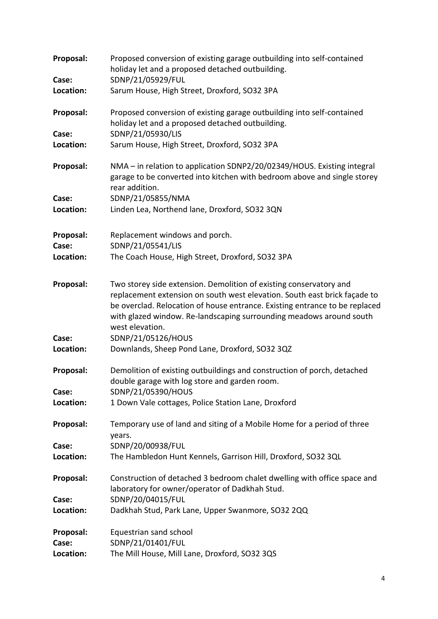| Proposal:          | Proposed conversion of existing garage outbuilding into self-contained<br>holiday let and a proposed detached outbuilding.                                                                                                                                                                                               |
|--------------------|--------------------------------------------------------------------------------------------------------------------------------------------------------------------------------------------------------------------------------------------------------------------------------------------------------------------------|
| Case:              | SDNP/21/05929/FUL                                                                                                                                                                                                                                                                                                        |
| Location:          | Sarum House, High Street, Droxford, SO32 3PA                                                                                                                                                                                                                                                                             |
| Proposal:          | Proposed conversion of existing garage outbuilding into self-contained<br>holiday let and a proposed detached outbuilding.                                                                                                                                                                                               |
| Case:              | SDNP/21/05930/LIS                                                                                                                                                                                                                                                                                                        |
| Location:          | Sarum House, High Street, Droxford, SO32 3PA                                                                                                                                                                                                                                                                             |
| Proposal:          | NMA - in relation to application SDNP2/20/02349/HOUS. Existing integral<br>garage to be converted into kitchen with bedroom above and single storey<br>rear addition.                                                                                                                                                    |
| Case:              | SDNP/21/05855/NMA                                                                                                                                                                                                                                                                                                        |
| Location:          | Linden Lea, Northend lane, Droxford, SO32 3QN                                                                                                                                                                                                                                                                            |
| Proposal:          | Replacement windows and porch.                                                                                                                                                                                                                                                                                           |
| Case:              | SDNP/21/05541/LIS                                                                                                                                                                                                                                                                                                        |
| Location:          | The Coach House, High Street, Droxford, SO32 3PA                                                                                                                                                                                                                                                                         |
| Proposal:          | Two storey side extension. Demolition of existing conservatory and<br>replacement extension on south west elevation. South east brick façade to<br>be overclad. Relocation of house entrance. Existing entrance to be replaced<br>with glazed window. Re-landscaping surrounding meadows around south<br>west elevation. |
| Case:              | SDNP/21/05126/HOUS                                                                                                                                                                                                                                                                                                       |
| Location:          | Downlands, Sheep Pond Lane, Droxford, SO32 3QZ                                                                                                                                                                                                                                                                           |
| Proposal:<br>Case: | Demolition of existing outbuildings and construction of porch, detached<br>double garage with log store and garden room.<br>SDNP/21/05390/HOUS                                                                                                                                                                           |
| Location:          | 1 Down Vale cottages, Police Station Lane, Droxford                                                                                                                                                                                                                                                                      |
|                    |                                                                                                                                                                                                                                                                                                                          |
| Proposal:          | Temporary use of land and siting of a Mobile Home for a period of three<br>years.                                                                                                                                                                                                                                        |
| Case:              | SDNP/20/00938/FUL                                                                                                                                                                                                                                                                                                        |
| Location:          | The Hambledon Hunt Kennels, Garrison Hill, Droxford, SO32 3QL                                                                                                                                                                                                                                                            |
| Proposal:          | Construction of detached 3 bedroom chalet dwelling with office space and<br>laboratory for owner/operator of Dadkhah Stud.                                                                                                                                                                                               |
| Case:              | SDNP/20/04015/FUL                                                                                                                                                                                                                                                                                                        |
| Location:          | Dadkhah Stud, Park Lane, Upper Swanmore, SO32 2QQ                                                                                                                                                                                                                                                                        |
| Proposal:          | Equestrian sand school                                                                                                                                                                                                                                                                                                   |
| Case:              | SDNP/21/01401/FUL                                                                                                                                                                                                                                                                                                        |
| Location:          | The Mill House, Mill Lane, Droxford, SO32 3QS                                                                                                                                                                                                                                                                            |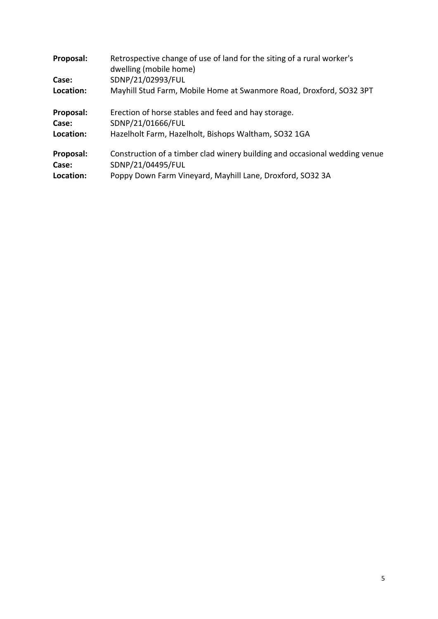| Proposal: | Retrospective change of use of land for the siting of a rural worker's<br>dwelling (mobile home) |
|-----------|--------------------------------------------------------------------------------------------------|
| Case:     | SDNP/21/02993/FUL                                                                                |
| Location: | Mayhill Stud Farm, Mobile Home at Swanmore Road, Droxford, SO32 3PT                              |
| Proposal: | Erection of horse stables and feed and hay storage.                                              |
| Case:     | SDNP/21/01666/FUL                                                                                |
| Location: | Hazelholt Farm, Hazelholt, Bishops Waltham, SO32 1GA                                             |
| Proposal: | Construction of a timber clad winery building and occasional wedding venue                       |
| Case:     | SDNP/21/04495/FUL                                                                                |
| Location: | Poppy Down Farm Vineyard, Mayhill Lane, Droxford, SO32 3A                                        |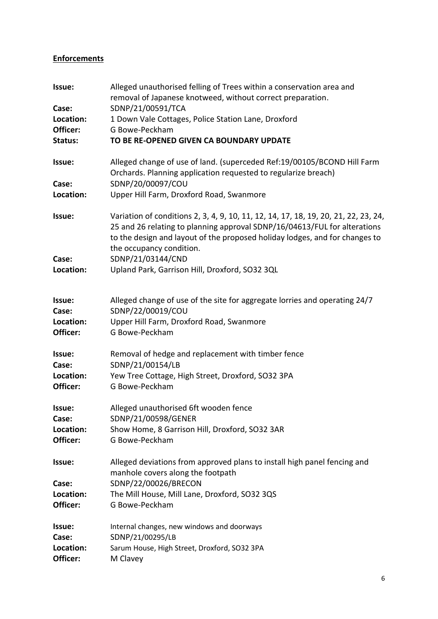#### **Enforcements**

| Issue:                | Alleged unauthorised felling of Trees within a conservation area and<br>removal of Japanese knotweed, without correct preparation.<br>SDNP/21/00591/TCA                                                                                                                     |
|-----------------------|-----------------------------------------------------------------------------------------------------------------------------------------------------------------------------------------------------------------------------------------------------------------------------|
| Case:<br>Location:    | 1 Down Vale Cottages, Police Station Lane, Droxford                                                                                                                                                                                                                         |
| Officer:              | G Bowe-Peckham                                                                                                                                                                                                                                                              |
| Status:               | TO BE RE-OPENED GIVEN CA BOUNDARY UPDATE                                                                                                                                                                                                                                    |
| Issue:                | Alleged change of use of land. (superceded Ref: 19/00105/BCOND Hill Farm<br>Orchards. Planning application requested to regularize breach)                                                                                                                                  |
| Case:<br>Location:    | SDNP/20/00097/COU<br>Upper Hill Farm, Droxford Road, Swanmore                                                                                                                                                                                                               |
| Issue:                | Variation of conditions 2, 3, 4, 9, 10, 11, 12, 14, 17, 18, 19, 20, 21, 22, 23, 24,<br>25 and 26 relating to planning approval SDNP/16/04613/FUL for alterations<br>to the design and layout of the proposed holiday lodges, and for changes to<br>the occupancy condition. |
| Case:                 | SDNP/21/03144/CND                                                                                                                                                                                                                                                           |
| Location:             | Upland Park, Garrison Hill, Droxford, SO32 3QL                                                                                                                                                                                                                              |
| Issue:                | Alleged change of use of the site for aggregate lorries and operating 24/7                                                                                                                                                                                                  |
| Case:                 | SDNP/22/00019/COU                                                                                                                                                                                                                                                           |
| Location:<br>Officer: | Upper Hill Farm, Droxford Road, Swanmore<br>G Bowe-Peckham                                                                                                                                                                                                                  |
| Issue:<br>Case:       | Removal of hedge and replacement with timber fence<br>SDNP/21/00154/LB                                                                                                                                                                                                      |
| Location:<br>Officer: | Yew Tree Cottage, High Street, Droxford, SO32 3PA<br>G Bowe-Peckham                                                                                                                                                                                                         |
| Issue:<br>Case:       | Alleged unauthorised 6ft wooden fence<br>SDNP/21/00598/GENER                                                                                                                                                                                                                |
| Location:<br>Officer: | Show Home, 8 Garrison Hill, Droxford, SO32 3AR<br>G Bowe-Peckham                                                                                                                                                                                                            |
| Issue:                | Alleged deviations from approved plans to install high panel fencing and<br>manhole covers along the footpath                                                                                                                                                               |
| Case:                 | SDNP/22/00026/BRECON                                                                                                                                                                                                                                                        |
| Location:             | The Mill House, Mill Lane, Droxford, SO32 3QS                                                                                                                                                                                                                               |
| Officer:              | G Bowe-Peckham                                                                                                                                                                                                                                                              |
| Issue:<br>Case:       | Internal changes, new windows and doorways<br>SDNP/21/00295/LB                                                                                                                                                                                                              |
| Location:             | Sarum House, High Street, Droxford, SO32 3PA                                                                                                                                                                                                                                |
| Officer:              | M Clavey                                                                                                                                                                                                                                                                    |